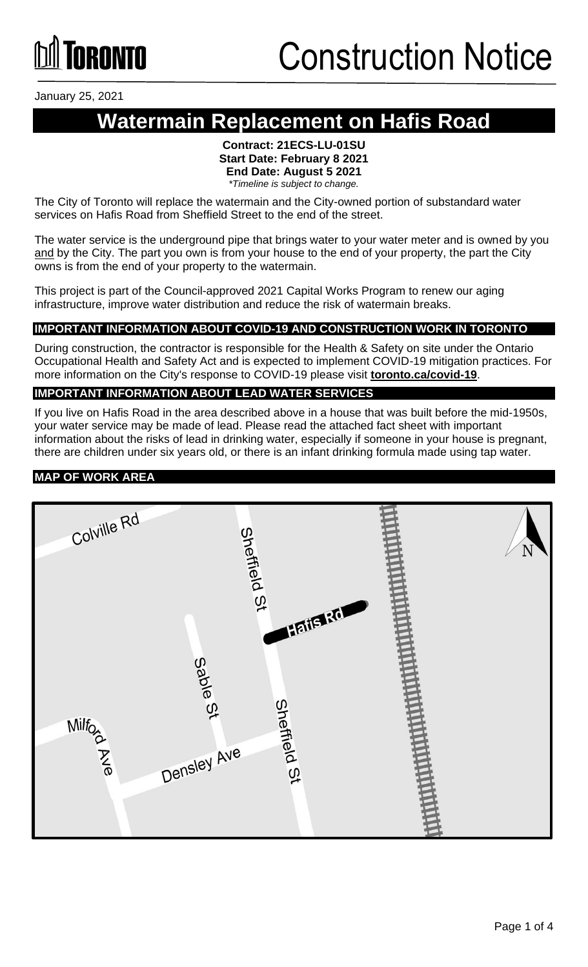# **TORONTO**

January 25, 2021

### **Watermain Replacement on Hafis Road**

#### **Contract: 21ECS-LU-01SU Start Date: February 8 2021 End Date: August 5 2021** *\*Timeline is subject to change.*

The City of Toronto will replace the watermain and the City-owned portion of substandard water services on Hafis Road from Sheffield Street to the end of the street.

The water service is the underground pipe that brings water to your water meter and is owned by you and by the City. The part you own is from your house to the end of your property, the part the City owns is from the end of your property to the watermain.

This project is part of the Council-approved 2021 Capital Works Program to renew our aging infrastructure, improve water distribution and reduce the risk of watermain breaks.

### **IMPORTANT INFORMATION ABOUT COVID-19 AND CONSTRUCTION WORK IN TORONTO**

During construction, the contractor is responsible for the Health & Safety on site under the Ontario Occupational Health and Safety Act and is expected to implement COVID-19 mitigation practices. For more information on the City's response to COVID-19 please visit **[toronto.ca/covid-19](http://www.toronto.ca/covid-19)**.

#### **IMPORTANT INFORMATION ABOUT LEAD WATER SERVICES**

If you live on Hafis Road in the area described above in a house that was built before the mid-1950s, your water service may be made of lead. Please read the attached fact sheet with important information about the risks of lead in drinking water, especially if someone in your house is pregnant, there are children under six years old, or there is an infant drinking formula made using tap water.

#### **MAP OF WORK AREA**

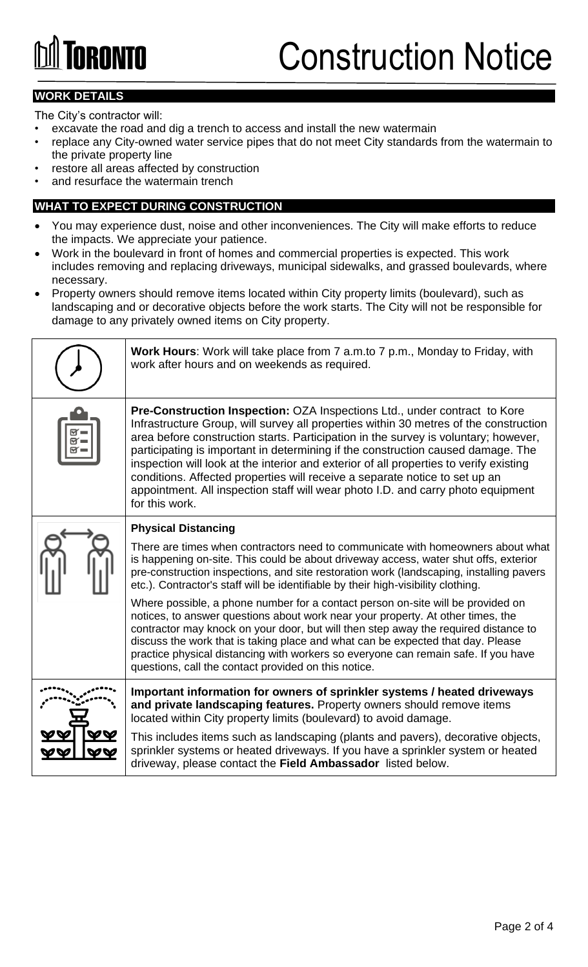# **GRANTA**

### Construction Notice

### **WORK DETAILS**

The City's contractor will:

- excavate the road and dig a trench to access and install the new watermain
- replace any City-owned water service pipes that do not meet City standards from the watermain to the private property line
- restore all areas affected by construction
- and resurface the watermain trench

### **WHAT TO EXPECT DURING CONSTRUCTION**

- You may experience dust, noise and other inconveniences. The City will make efforts to reduce the impacts. We appreciate your patience.
- Work in the boulevard in front of homes and commercial properties is expected. This work includes removing and replacing driveways, municipal sidewalks, and grassed boulevards, where necessary.
- Property owners should remove items located within City property limits (boulevard), such as landscaping and or decorative objects before the work starts. The City will not be responsible for damage to any privately owned items on City property.

| <b>Work Hours:</b> Work will take place from 7 a.m.to 7 p.m., Monday to Friday, with<br>work after hours and on weekends as required.                                                                                                                                                                                                                                                                                                                                                                                                                                                                                        |
|------------------------------------------------------------------------------------------------------------------------------------------------------------------------------------------------------------------------------------------------------------------------------------------------------------------------------------------------------------------------------------------------------------------------------------------------------------------------------------------------------------------------------------------------------------------------------------------------------------------------------|
| Pre-Construction Inspection: OZA Inspections Ltd., under contract to Kore<br>Infrastructure Group, will survey all properties within 30 metres of the construction<br>area before construction starts. Participation in the survey is voluntary; however,<br>participating is important in determining if the construction caused damage. The<br>inspection will look at the interior and exterior of all properties to verify existing<br>conditions. Affected properties will receive a separate notice to set up an<br>appointment. All inspection staff will wear photo I.D. and carry photo equipment<br>for this work. |
| <b>Physical Distancing</b>                                                                                                                                                                                                                                                                                                                                                                                                                                                                                                                                                                                                   |
| There are times when contractors need to communicate with homeowners about what<br>is happening on-site. This could be about driveway access, water shut offs, exterior<br>pre-construction inspections, and site restoration work (landscaping, installing pavers<br>etc.). Contractor's staff will be identifiable by their high-visibility clothing.                                                                                                                                                                                                                                                                      |
| Where possible, a phone number for a contact person on-site will be provided on<br>notices, to answer questions about work near your property. At other times, the<br>contractor may knock on your door, but will then step away the required distance to<br>discuss the work that is taking place and what can be expected that day. Please<br>practice physical distancing with workers so everyone can remain safe. If you have<br>questions, call the contact provided on this notice.                                                                                                                                   |
| Important information for owners of sprinkler systems / heated driveways<br>and private landscaping features. Property owners should remove items<br>located within City property limits (boulevard) to avoid damage.                                                                                                                                                                                                                                                                                                                                                                                                        |
| This includes items such as landscaping (plants and pavers), decorative objects,<br>sprinkler systems or heated driveways. If you have a sprinkler system or heated<br>driveway, please contact the Field Ambassador listed below.                                                                                                                                                                                                                                                                                                                                                                                           |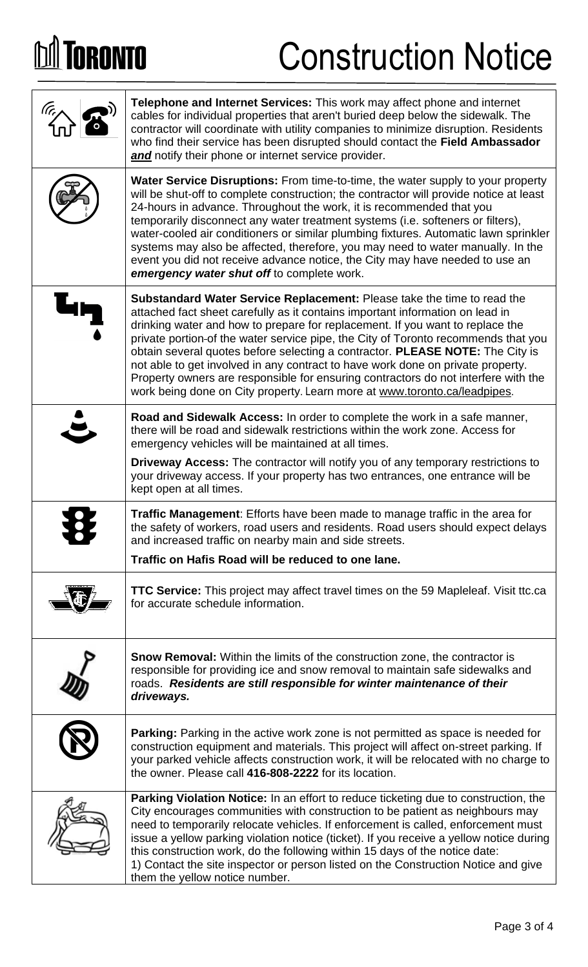# **DA TORONTO**

### Construction Notice

| Telephone and Internet Services: This work may affect phone and internet<br>cables for individual properties that aren't buried deep below the sidewalk. The<br>contractor will coordinate with utility companies to minimize disruption. Residents<br>who find their service has been disrupted should contact the Field Ambassador<br>and notify their phone or internet service provider.                                                                                                                                                                                                                                                                           |
|------------------------------------------------------------------------------------------------------------------------------------------------------------------------------------------------------------------------------------------------------------------------------------------------------------------------------------------------------------------------------------------------------------------------------------------------------------------------------------------------------------------------------------------------------------------------------------------------------------------------------------------------------------------------|
| <b>Water Service Disruptions:</b> From time-to-time, the water supply to your property<br>will be shut-off to complete construction; the contractor will provide notice at least<br>24-hours in advance. Throughout the work, it is recommended that you<br>temporarily disconnect any water treatment systems (i.e. softeners or filters),<br>water-cooled air conditioners or similar plumbing fixtures. Automatic lawn sprinkler<br>systems may also be affected, therefore, you may need to water manually. In the<br>event you did not receive advance notice, the City may have needed to use an<br>emergency water shut off to complete work.                   |
| Substandard Water Service Replacement: Please take the time to read the<br>attached fact sheet carefully as it contains important information on lead in<br>drinking water and how to prepare for replacement. If you want to replace the<br>private portion-of the water service pipe, the City of Toronto recommends that you<br>obtain several quotes before selecting a contractor. PLEASE NOTE: The City is<br>not able to get involved in any contract to have work done on private property.<br>Property owners are responsible for ensuring contractors do not interfere with the<br>work being done on City property. Learn more at www.toronto.ca/leadpipes. |
| Road and Sidewalk Access: In order to complete the work in a safe manner,<br>there will be road and sidewalk restrictions within the work zone. Access for<br>emergency vehicles will be maintained at all times.                                                                                                                                                                                                                                                                                                                                                                                                                                                      |
| Driveway Access: The contractor will notify you of any temporary restrictions to<br>your driveway access. If your property has two entrances, one entrance will be<br>kept open at all times.                                                                                                                                                                                                                                                                                                                                                                                                                                                                          |
| <b>Traffic Management:</b> Efforts have been made to manage traffic in the area for<br>the safety of workers, road users and residents. Road users should expect delays<br>and increased traffic on nearby main and side streets.                                                                                                                                                                                                                                                                                                                                                                                                                                      |
| Traffic on Hafis Road will be reduced to one lane.                                                                                                                                                                                                                                                                                                                                                                                                                                                                                                                                                                                                                     |
| <b>TTC Service:</b> This project may affect travel times on the 59 Mapleleaf. Visit ttc.ca<br>for accurate schedule information.                                                                                                                                                                                                                                                                                                                                                                                                                                                                                                                                       |
| <b>Snow Removal:</b> Within the limits of the construction zone, the contractor is<br>responsible for providing ice and snow removal to maintain safe sidewalks and<br>roads. Residents are still responsible for winter maintenance of their<br>driveways.                                                                                                                                                                                                                                                                                                                                                                                                            |
| <b>Parking:</b> Parking in the active work zone is not permitted as space is needed for<br>construction equipment and materials. This project will affect on-street parking. If<br>your parked vehicle affects construction work, it will be relocated with no charge to<br>the owner. Please call 416-808-2222 for its location.                                                                                                                                                                                                                                                                                                                                      |
| Parking Violation Notice: In an effort to reduce ticketing due to construction, the<br>City encourages communities with construction to be patient as neighbours may<br>need to temporarily relocate vehicles. If enforcement is called, enforcement must<br>issue a yellow parking violation notice (ticket). If you receive a yellow notice during<br>this construction work, do the following within 15 days of the notice date:<br>1) Contact the site inspector or person listed on the Construction Notice and give<br>them the yellow notice number.                                                                                                            |